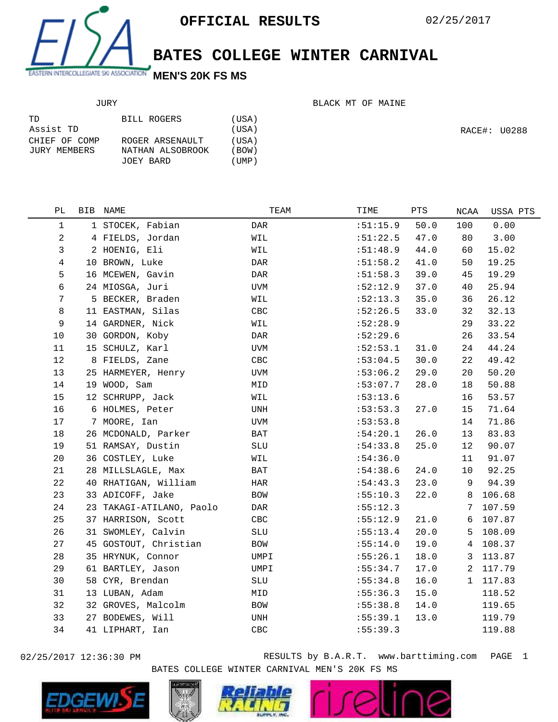

## **BATES COLLEGE WINTER CARNIVAL**

## JURY

BLACK MT OF MAINE

| TD.           | BILL ROGERS      | (USA)       |
|---------------|------------------|-------------|
| Assist TD     |                  | (USA)       |
| CHIEF OF COMP | ROGER ARSENAULT  | (USA)       |
| JURY MEMBERS  | NATHAN ALSOBROOK | (BOW)       |
|               | JOEY BARD        | $($ UMP $)$ |

RACE#: U0288

| РL             | BIB | NAME                     | TEAM       | TIME     | PTS  | NCAA         | USSA PTS |
|----------------|-----|--------------------------|------------|----------|------|--------------|----------|
| $\mathbf 1$    |     | 1 STOCEK, Fabian         | DAR        | :51:15.9 | 50.0 | 100          | 0.00     |
| $\overline{a}$ |     | 4 FIELDS, Jordan         | WIL        | :51:22.5 | 47.0 | 80           | 3.00     |
| 3              |     | 2 HOENIG, Eli            | WIL        | :51:48.9 | 44.0 | 60           | 15.02    |
| 4              |     | 10 BROWN, Luke           | DAR        | :51:58.2 | 41.0 | 50           | 19.25    |
| 5              |     | 16 MCEWEN, Gavin         | DAR        | :51:58.3 | 39.0 | 45           | 19.29    |
| 6              |     | 24 MIOSGA, Juri          | UVM        | :52:12.9 | 37.0 | 40           | 25.94    |
| 7              |     | 5 BECKER, Braden         | WIL        | :52:13.3 | 35.0 | 36           | 26.12    |
| 8              |     | 11 EASTMAN, Silas        | CBC        | :52:26.5 | 33.0 | 32           | 32.13    |
| 9              |     | 14 GARDNER, Nick         | WIL        | :52:28.9 |      | 29           | 33.22    |
| 10             |     | 30 GORDON, Koby          | DAR        | :52:29.6 |      | 26           | 33.54    |
| 11             |     | 15 SCHULZ, Karl          | UVM        | :52:53.1 | 31.0 | 24           | 44.24    |
| 12             |     | 8 FIELDS, Zane           | CBC        | :53:04.5 | 30.0 | 22           | 49.42    |
| 13             |     | 25 HARMEYER, Henry       | UVM        | :53:06.2 | 29.0 | 20           | 50.20    |
| 14             |     | 19 WOOD, Sam             | MID        | :53:07.7 | 28.0 | 18           | 50.88    |
| 15             |     | 12 SCHRUPP, Jack         | WIL        | :53:13.6 |      | 16           | 53.57    |
| 16             |     | 6 HOLMES, Peter          | UNH        | :53:53.3 | 27.0 | 15           | 71.64    |
| 17             |     | 7 MOORE, Ian             | UVM        | :53:53.8 |      | 14           | 71.86    |
| 18             |     | 26 MCDONALD, Parker      | BAT        | :54:20.1 | 26.0 | 13           | 83.83    |
| 19             |     | 51 RAMSAY, Dustin        | SLU        | :54:33.8 | 25.0 | 12           | 90.07    |
| 20             |     | 36 COSTLEY, Luke         | WIL        | :54:36.0 |      | 11           | 91.07    |
| 21             |     | 28 MILLSLAGLE, Max       | BAT        | :54:38.6 | 24.0 | 10           | 92.25    |
| 22             |     | 40 RHATIGAN, William     | HAR        | :54:43.3 | 23.0 | 9            | 94.39    |
| 23             |     | 33 ADICOFF, Jake         | BOW        | :55:10.3 | 22.0 | 8            | 106.68   |
| 24             |     | 23 TAKAGI-ATILANO, Paolo | DAR        | :55:12.3 |      | 7            | 107.59   |
| 25             |     | 37 HARRISON, Scott       | CBC        | :55:12.9 | 21.0 | 6            | 107.87   |
| 26             |     | 31 SWOMLEY, Calvin       | SLU        | :55:13.4 | 20.0 | 5            | 108.09   |
| 27             |     | 45 GOSTOUT, Christian    | BOW        | :55:14.0 | 19.0 | 4            | 108.37   |
| 28             |     | 35 HRYNUK, Connor        | UMPI       | :55:26.1 | 18.0 | 3            | 113.87   |
| 29             |     | 61 BARTLEY, Jason        | UMPI       | :55:34.7 | 17.0 | 2            | 117.79   |
| 30             |     | 58 CYR, Brendan          | SLU        | :55:34.8 | 16.0 | $\mathbf{1}$ | 117.83   |
| 31             |     | 13 LUBAN, Adam           | MID        | :55:36.3 | 15.0 |              | 118.52   |
| 32             |     | 32 GROVES, Malcolm       | <b>BOW</b> | :55:38.8 | 14.0 |              | 119.65   |
| 33             |     | 27 BODEWES, Will         | UNH        | :55:39.1 | 13.0 |              | 119.79   |
| 34             |     | 41 LIPHART, Ian          | CBC        | :55:39.3 |      |              | 119.88   |
|                |     |                          |            |          |      |              |          |

02/25/2017 12:36:30 PM RESULTS by B.A.R.T. www.barttiming.com PAGE 1 BATES COLLEGE WINTER CARNIVAL MEN'S 20K FS MS